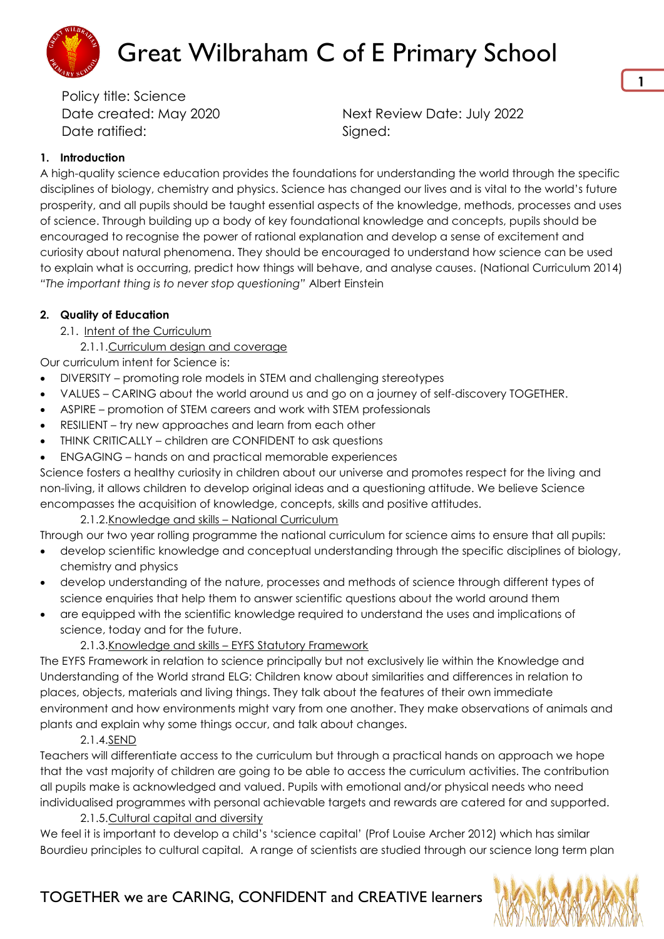

Date created: May 2020 Next Review Date: July 2022

#### **1. Introduction**

A high-quality science education provides the foundations for understanding the world through the specific disciplines of biology, chemistry and physics. Science has changed our lives and is vital to the world's future prosperity, and all pupils should be taught essential aspects of the knowledge, methods, processes and uses of science. Through building up a body of key foundational knowledge and concepts, pupils should be encouraged to recognise the power of rational explanation and develop a sense of excitement and curiosity about natural phenomena. They should be encouraged to understand how science can be used to explain what is occurring, predict how things will behave, and analyse causes. (National Curriculum 2014) *"The important thing is to never stop questioning"* Albert Einstein

#### **2. Quality of Education**

- 2.1. Intent of the Curriculum
	- 2.1.1.Curriculum design and coverage

Our curriculum intent for Science is:

- DIVERSITY promoting role models in STEM and challenging stereotypes
- VALUES CARING about the world around us and go on a journey of self-discovery TOGETHER.
- ASPIRE promotion of STEM careers and work with STEM professionals
- RESILIENT try new approaches and learn from each other
- THINK CRITICALLY children are CONFIDENT to ask questions
- ENGAGING hands on and practical memorable experiences

Science fosters a healthy curiosity in children about our universe and promotes respect for the living and non-living, it allows children to develop original ideas and a questioning attitude. We believe Science encompasses the acquisition of knowledge, concepts, skills and positive attitudes.

#### 2.1.2.Knowledge and skills – National Curriculum

Through our two year rolling programme the national curriculum for science aims to ensure that all pupils:

- develop scientific knowledge and conceptual understanding through the specific disciplines of biology, chemistry and physics
- develop understanding of the nature, processes and methods of science through different types of science enquiries that help them to answer scientific questions about the world around them
- are equipped with the scientific knowledge required to understand the uses and implications of science, today and for the future.

#### 2.1.3.Knowledge and skills – EYFS Statutory Framework

The EYFS Framework in relation to science principally but not exclusively lie within the Knowledge and Understanding of the World strand ELG: Children know about similarities and differences in relation to places, objects, materials and living things. They talk about the features of their own immediate environment and how environments might vary from one another. They make observations of animals and plants and explain why some things occur, and talk about changes.

#### 2.1.4.SEND

Teachers will differentiate access to the curriculum but through a practical hands on approach we hope that the vast majority of children are going to be able to access the curriculum activities. The contribution all pupils make is acknowledged and valued. Pupils with emotional and/or physical needs who need individualised programmes with personal achievable targets and rewards are catered for and supported.

2.1.5.Cultural capital and diversity

We feel it is important to develop a child's 'science capital' (Prof Louise Archer 2012) which has similar Bourdieu principles to cultural capital. A range of scientists are studied through our science long term plan

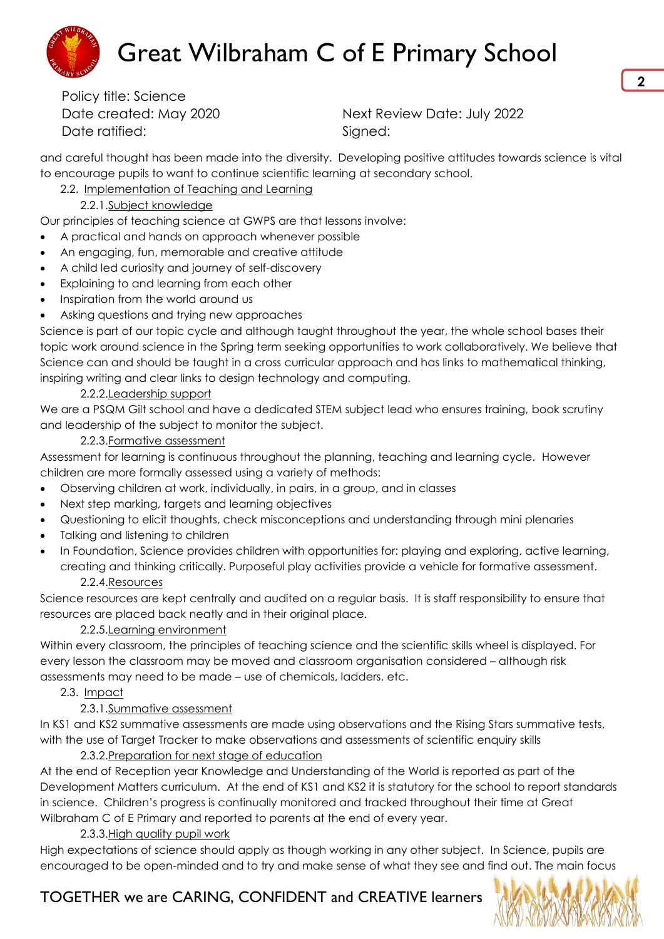

Date created: May 2020 Next Review Date: July 2022

and careful thought has been made into the diversity. Developing positive attitudes towards science is vital to encourage pupils to want to continue scientific learning at secondary school.

### 2.2. Implementation of Teaching and Learning

#### 2.2.1.Subject knowledge

Our principles of teaching science at GWPS are that lessons involve:

- A practical and hands on approach whenever possible
- An engaging, fun, memorable and creative attitude
- A child led curiosity and journey of self-discovery
- Explaining to and learning from each other
- Inspiration from the world around us
- Asking questions and trying new approaches

Science is part of our topic cycle and although taught throughout the year, the whole school bases their topic work around science in the Spring term seeking opportunities to work collaboratively. We believe that Science can and should be taught in a cross curricular approach and has links to mathematical thinking, inspiring writing and clear links to design technology and computing.

#### 2.2.2.Leadership support

We are a PSQM Gilt school and have a dedicated STEM subject lead who ensures training, book scrutiny and leadership of the subject to monitor the subject.

#### 2.2.3.Formative assessment

Assessment for learning is continuous throughout the planning, teaching and learning cycle. However children are more formally assessed using a variety of methods:

- Observing children at work, individually, in pairs, in a group, and in classes
- Next step marking, targets and learning objectives
- Questioning to elicit thoughts, check misconceptions and understanding through mini plenaries
- Talking and listening to children
- In Foundation, Science provides children with opportunities for: playing and exploring, active learning, creating and thinking critically. Purposeful play activities provide a vehicle for formative assessment. 2.2.4.Resources

Science resources are kept centrally and audited on a regular basis. It is staff responsibility to ensure that resources are placed back neatly and in their original place.

#### 2.2.5.Learning environment

Within every classroom, the principles of teaching science and the scientific skills wheel is displayed. For every lesson the classroom may be moved and classroom organisation considered – although risk assessments may need to be made – use of chemicals, ladders, etc.

#### 2.3. Impact

#### 2.3.1.Summative assessment

In KS1 and KS2 summative assessments are made using observations and the Rising Stars summative tests, with the use of Target Tracker to make observations and assessments of scientific enquiry skills

2.3.2.Preparation for next stage of education

At the end of Reception year Knowledge and Understanding of the World is reported as part of the Development Matters curriculum. At the end of KS1 and KS2 it is statutory for the school to report standards in science. Children's progress is continually monitored and tracked throughout their time at Great Wilbraham C of E Primary and reported to parents at the end of every year.

#### 2.3.3.High quality pupil work

High expectations of science should apply as though working in any other subject. In Science, pupils are encouraged to be open-minded and to try and make sense of what they see and find out. The main focus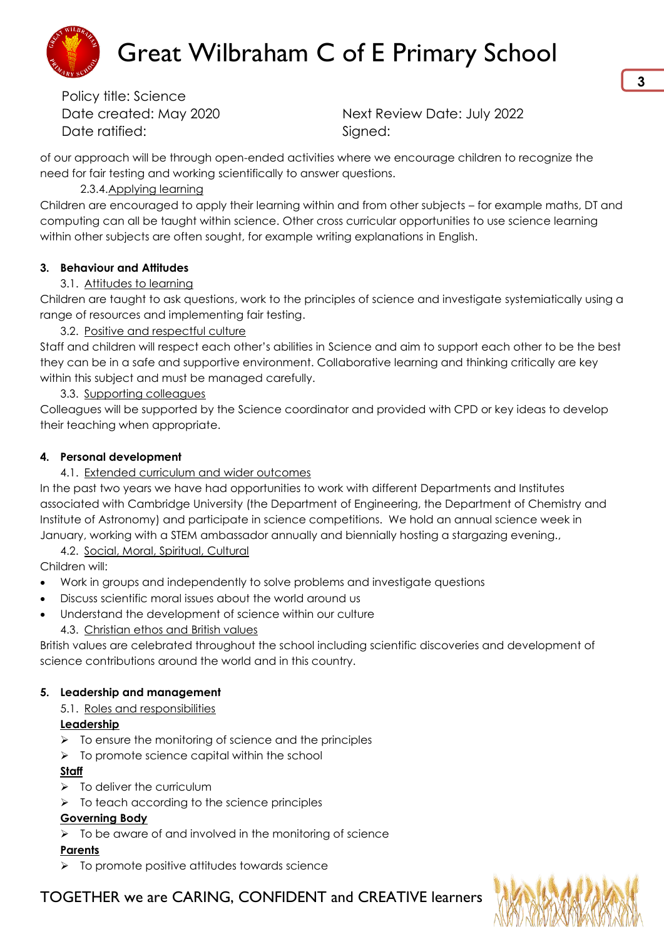

Date created: May 2020 Next Review Date: July 2022

of our approach will be through open-ended activities where we encourage children to recognize the need for fair testing and working scientifically to answer questions.

#### 2.3.4.Applying learning

Children are encouraged to apply their learning within and from other subjects – for example maths, DT and computing can all be taught within science. Other cross curricular opportunities to use science learning within other subjects are often sought, for example writing explanations in English.

#### **3. Behaviour and Attitudes**

#### 3.1. Attitudes to learning

Children are taught to ask questions, work to the principles of science and investigate systemiatically using a range of resources and implementing fair testing.

#### 3.2. Positive and respectful culture

Staff and children will respect each other's abilities in Science and aim to support each other to be the best they can be in a safe and supportive environment. Collaborative learning and thinking critically are key within this subject and must be managed carefully.

#### 3.3. Supporting colleagues

Colleagues will be supported by the Science coordinator and provided with CPD or key ideas to develop their teaching when appropriate.

#### **4. Personal development**

#### 4.1. Extended curriculum and wider outcomes

In the past two years we have had opportunities to work with different Departments and Institutes associated with Cambridge University (the Department of Engineering, the Department of Chemistry and Institute of Astronomy) and participate in science competitions. We hold an annual science week in January, working with a STEM ambassador annually and biennially hosting a stargazing evening.,

#### 4.2. Social, Moral, Spiritual, Cultural

Children will:

- Work in groups and independently to solve problems and investigate questions
- Discuss scientific moral issues about the world around us
- Understand the development of science within our culture
	- 4.3. Christian ethos and British values

British values are celebrated throughout the school including scientific discoveries and development of science contributions around the world and in this country.

# **5. Leadership and management**

# 5.1. Roles and responsibilities

# **Leadership**

- $\triangleright$  To ensure the monitoring of science and the principles
- $\triangleright$  To promote science capital within the school

# **Staff**

- $\triangleright$  To deliver the curriculum
- $\triangleright$  To teach according to the science principles

# **Governing Body**

 $\triangleright$  To be aware of and involved in the monitoring of science

# **Parents**

 $\triangleright$  To promote positive attitudes towards science